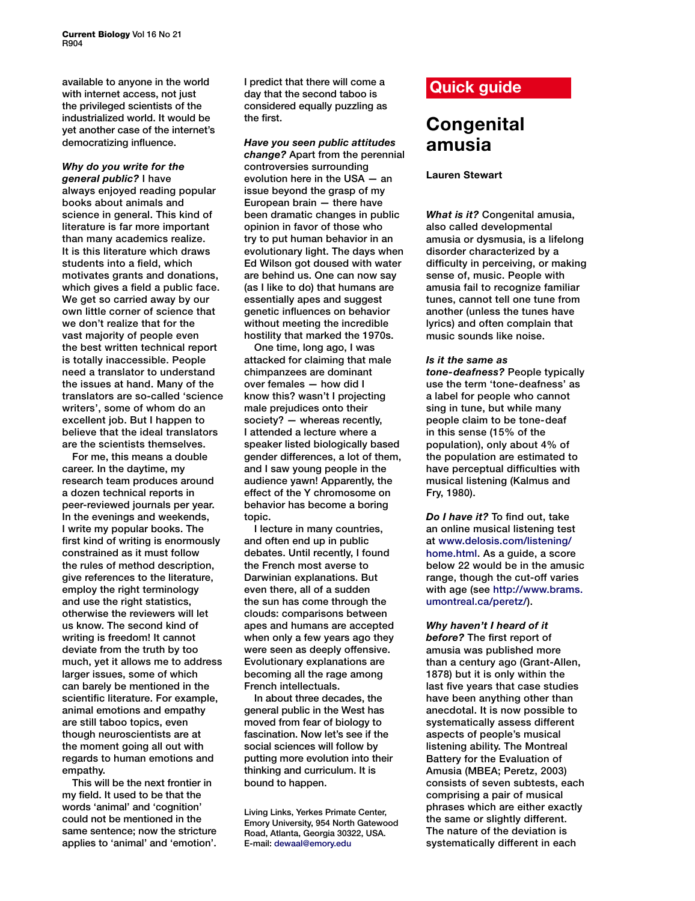available to anyone in the world with internet access, not just the privileged scientists of the industrialized world. It would be yet another case of the internet's democratizing influence.

*Why do you write for the general public?* I have always enjoyed reading popular books about animals and science in general. This kind of literature is far more important than many academics realize. It is this literature which draws students into a field, which motivates grants and donations, which gives a field a public face. We get so carried away by our own little corner of science that we don't realize that for the vast majority of people even the best written technical report is totally inaccessible. People need a translator to understand the issues at hand. Many of the translators are so-called 'science writers', some of whom do an excellent job. But I happen to believe that the ideal translators are the scientists themselves.

For me, this means a double career. In the daytime, my research team produces around a dozen technical reports in peer-reviewed journals per year. In the evenings and weekends, I write my popular books. The first kind of writing is enormously constrained as it must follow the rules of method description, give references to the literature, employ the right terminology and use the right statistics, otherwise the reviewers will let us know. The second kind of writing is freedom! It cannot deviate from the truth by too much, yet it allows me to address larger issues, some of which can barely be mentioned in the scientific literature. For example, animal emotions and empathy are still taboo topics, even though neuroscientists are at the moment going all out with regards to human emotions and empathy.

This will be the next frontier in my field. It used to be that the words 'animal' and 'cognition' could not be mentioned in the same sentence; now the stricture applies to 'animal' and 'emotion'. I predict that there will come a day that the second taboo is considered equally puzzling as the first.

### *Have you seen public attitudes*

*change?* Apart from the perennial controversies surrounding evolution here in the USA — an issue beyond the grasp of my European brain — there have been dramatic changes in public opinion in favor of those who try to put human behavior in an evolutionary light. The days when Ed Wilson got doused with water are behind us. One can now say (as I like to do) that humans are essentially apes and suggest genetic influences on behavior without meeting the incredible hostility that marked the 1970s.

One time, long ago, I was attacked for claiming that male chimpanzees are dominant over females — how did I know this? wasn't I projecting male prejudices onto their society? — whereas recently, I attended a lecture where a speaker listed biologically based gender differences, a lot of them, and I saw young people in the audience yawn! Apparently, the effect of the Y chromosome on behavior has become a boring topic.

I lecture in many countries, and often end up in public debates. Until recently, I found the French most averse to Darwinian explanations. But even there, all of a sudden the sun has come through the clouds: comparisons between apes and humans are accepted when only a few years ago they were seen as deeply offensive. Evolutionary explanations are becoming all the rage among French intellectuals.

In about three decades, the general public in the West has moved from fear of biology to fascination. Now let's see if the social sciences will follow by putting more evolution into their thinking and curriculum. It is bound to happen.

Living Links, Yerkes Primate Center, Emory University, 954 North Gatewood Road, Atlanta, Georgia 30322, USA. E-mail: [dewaal@emory.edu](mailto:dewaal@emory.edu)

### **Quick guide**

# **Congenital amusia**

**Lauren Stewart**

*What is it?* Congenital amusia, also called developmental amusia or dysmusia, is a lifelong disorder characterized by a difficulty in perceiving, or making sense of, music. People with amusia fail to recognize familiar tunes, cannot tell one tune from another (unless the tunes have lyrics) and often complain that music sounds like noise.

#### *Is it the same as*

*tone-deafness?* People typically use the term 'tone-deafness' as a label for people who cannot sing in tune, but while many people claim to be tone-deaf in this sense (15% of the population), only about 4% of the population are estimated to have perceptual difficulties with musical listening (Kalmus and Fry, 1980).

*Do I have it?* To find out, take an online musical listening test at [www.delosis.com/listening/](http://www.delosis.com/listening/home.html) [home.html.](http://www.delosis.com/listening/home.html) As a guide, a score below 22 would be in the amusic range, though the cut-off varies with age (see [http://www.brams.](http://www.brams.umontreal.ca/peretz/) [umontreal.ca/peretz/\)](http://www.brams.umontreal.ca/peretz/).

*Why haven't I heard of it before?* The first report of amusia was published more than a century ago (Grant-Allen, 1878) but it is only within the last five years that case studies have been anything other than anecdotal. It is now possible to systematically assess different aspects of people's musical listening ability. The Montreal Battery for the Evaluation of Amusia (MBEA; Peretz, 2003) consists of seven subtests, each comprising a pair of musical phrases which are either exactly the same or slightly different. The nature of the deviation is systematically different in each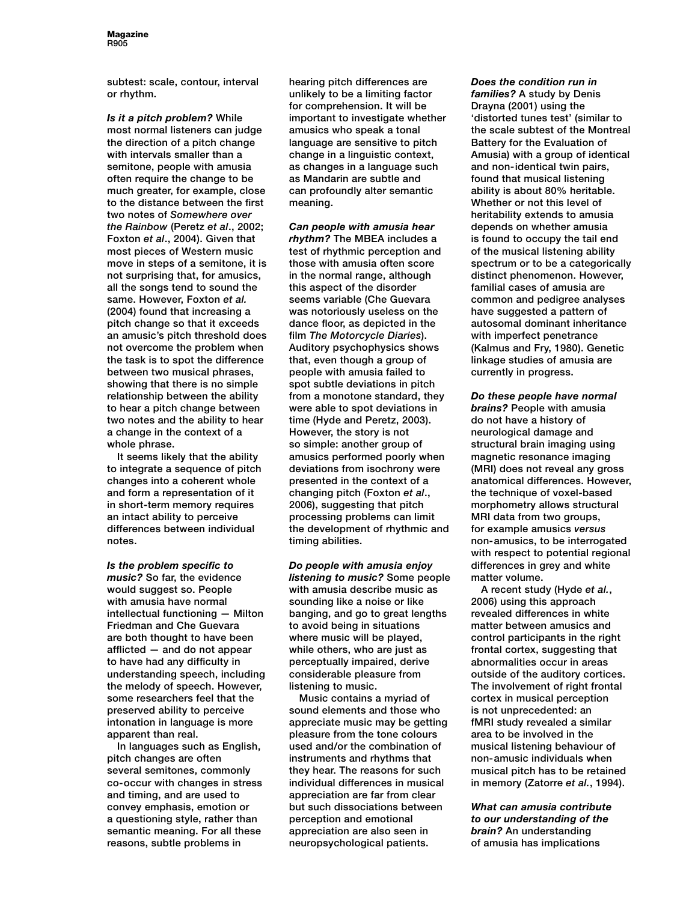Magazine R905

subtest: scale, contour, interval or rhythm.

*Is it a pitch problem?* While most normal listeners can judge the direction of a pitch change with intervals smaller than a semitone, people with amusia often require the change to be much greater, for example, close to the distance between the first two notes of *Somewhere over the Rainbow* (Peretz *et al*., 2002; Foxton *et al*., 2004). Given that most pieces of Western music move in steps of a semitone, it is not surprising that, for amusics, all the songs tend to sound the same. However, Foxton *et al.* (2004) found that increasing a pitch change so that it exceeds an amusic's pitch threshold does not overcome the problem when the task is to spot the difference between two musical phrases, showing that there is no simple relationship between the ability to hear a pitch change between two notes and the ability to hear a change in the context of a whole phrase.

It seems likely that the ability to integrate a sequence of pitch changes into a coherent whole and form a representation of it in short-term memory requires an intact ability to perceive differences between individual notes.

*Is the problem specific to music?* So far, the evidence would suggest so. People with amusia have normal intellectual functioning — Milton Friedman and Che Guevara are both thought to have been afflicted — and do not appear to have had any difficulty in understanding speech, including the melody of speech. However, some researchers feel that the preserved ability to perceive intonation in language is more apparent than real.

In languages such as English, pitch changes are often several semitones, commonly co-occur with changes in stress and timing, and are used to convey emphasis, emotion or a questioning style, rather than semantic meaning. For all these reasons, subtle problems in

hearing pitch differences are unlikely to be a limiting factor for comprehension. It will be important to investigate whether amusics who speak a tonal language are sensitive to pitch change in a linguistic context, as changes in a language such as Mandarin are subtle and can profoundly alter semantic meaning.

*Can people with amusia hear rhythm?* The MBEA includes a test of rhythmic perception and those with amusia often score in the normal range, although this aspect of the disorder seems variable (Che Guevara was notoriously useless on the dance floor, as depicted in the film *The Motorcycle Diaries*). Auditory psychophysics shows that, even though a group of people with amusia failed to spot subtle deviations in pitch from a monotone standard, they were able to spot deviations in time (Hyde and Peretz, 2003). However, the story is not so simple: another group of amusics performed poorly when deviations from isochrony were presented in the context of a changing pitch (Foxton *et al*., 2006), suggesting that pitch processing problems can limit the development of rhythmic and timing abilities.

*Do people with amusia enjoy listening to music?* Some people with amusia describe music as sounding like a noise or like banging, and go to great lengths to avoid being in situations where music will be played, while others, who are just as perceptually impaired, derive considerable pleasure from listening to music.

Music contains a myriad of sound elements and those who appreciate music may be getting pleasure from the tone colours used and/or the combination of instruments and rhythms that they hear. The reasons for such individual differences in musical appreciation are far from clear but such dissociations between perception and emotional appreciation are also seen in neuropsychological patients.

*Does the condition run in families?* A study by Denis Drayna (2001) using the 'distorted tunes test' (similar to the scale subtest of the Montreal Battery for the Evaluation of Amusia) with a group of identical and non-identical twin pairs, found that musical listening ability is about 80% heritable. Whether or not this level of heritability extends to amusia depends on whether amusia is found to occupy the tail end of the musical listening ability spectrum or to be a categorically distinct phenomenon. However, familial cases of amusia are common and pedigree analyses have suggested a pattern of autosomal dominant inheritance with imperfect penetrance (Kalmus and Fry, 1980). Genetic linkage studies of amusia are currently in progress.

*Do these people have normal brains?* People with amusia

do not have a history of neurological damage and structural brain imaging using magnetic resonance imaging (MRI) does not reveal any gross anatomical differences. However, the technique of voxel-based morphometry allows structural MRI data from two groups, for example amusics *versus* non-amusics, to be interrogated with respect to potential regional differences in grey and white matter volume.

A recent study (Hyde *et al.*, 2006) using this approach revealed differences in white matter between amusics and control participants in the right frontal cortex, suggesting that abnormalities occur in areas outside of the auditory cortices. The involvement of right frontal cortex in musical perception is not unprecedented: an fMRI study revealed a similar area to be involved in the musical listening behaviour of non-amusic individuals when musical pitch has to be retained in memory (Zatorre *et al.*, 1994).

*What can amusia contribute to our understanding of the brain?* An understanding of amusia has implications